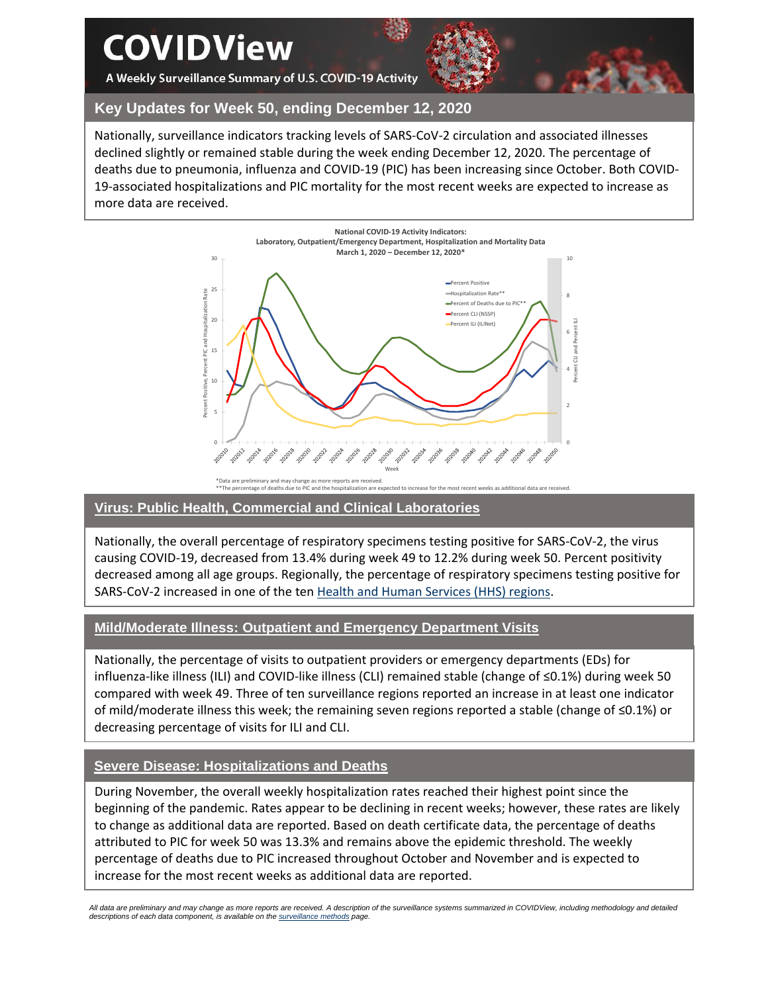# **COVIDView**

A Weekly Surveillance Summary of U.S. COVID-19 Activity



## **Key Updates for Week 50, ending December 12, 2020**

Nationally, surveillance indicators tracking levels of SARS-CoV-2 circulation and associated illnesses declined slightly or remained stable during the week ending December 12, 2020. The percentage of deaths due to pneumonia, influenza and COVID-19 (PIC) has been increasing since October. Both COVID-19-associated hospitalizations and PIC mortality for the most recent weeks are expected to increase as more data are received.



#### \*Data are preliminary and may change as more reports are received. \*\*The percentage of deaths due to PIC and the hospitalization are expected to increase for the most recent weeks as additional data are received.

### **Virus: Public Health, Commercial and Clinical Laboratories**

Nationally, the overall percentage of respiratory specimens testing positive for SARS-CoV-2, the virus causing COVID-19, decreased from 13.4% during week 49 to 12.2% during week 50. Percent positivity decreased among all age groups. Regionally, the percentage of respiratory specimens testing positive for SARS-CoV-2 increased in one of the ten [Health and Human Services \(HHS\)](https://www.hhs.gov/about/agencies/iea/regional-offices/index.html) regions.

### **Mild/Moderate Illness: Outpatient and Emergency Department Visits**

Nationally, the percentage of visits to outpatient providers or emergency departments (EDs) for influenza-like illness (ILI) and COVID-like illness (CLI) remained stable (change of ≤0.1%) during week 50 compared with week 49. Three of ten surveillance regions reported an increase in at least one indicator of mild/moderate illness this week; the remaining seven regions reported a stable (change of ≤0.1%) or decreasing percentage of visits for ILI and CLI.

## **Severe Disease: Hospitalizations and Deaths**

During November, the overall weekly hospitalization rates reached their highest point since the beginning of the pandemic. Rates appear to be declining in recent weeks; however, these rates are likely to change as additional data are reported. Based on death certificate data, the percentage of deaths attributed to PIC for week 50 was 13.3% and remains above the epidemic threshold. The weekly percentage of deaths due to PIC increased throughout October and November and is expected to increase for the most recent weeks as additional data are reported.

*All data are preliminary and may change as more reports are received. A description of the surveillance systems summarized in COVIDView, including methodology and detailed descriptions of each data component, is available on th[e surveillance methods](https://www.cdc.gov/coronavirus/2019-ncov/covid-data/covidview/purpose-methods.html) page.*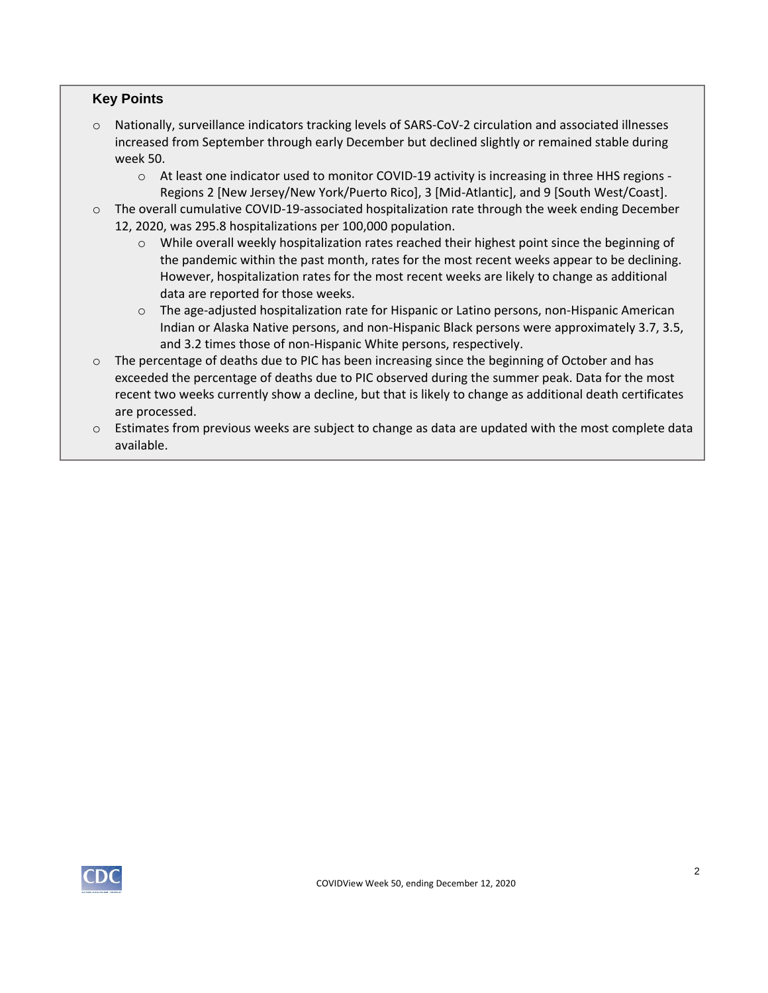## **Key Points**

- o Nationally, surveillance indicators tracking levels of SARS-CoV-2 circulation and associated illnesses increased from September through early December but declined slightly or remained stable during week 50.
	- o At least one indicator used to monitor COVID-19 activity is increasing in three HHS regions Regions 2 [New Jersey/New York/Puerto Rico], 3 [Mid-Atlantic], and 9 [South West/Coast].
- o The overall cumulative COVID-19-associated hospitalization rate through the week ending December 12, 2020, was 295.8 hospitalizations per 100,000 population.
	- $\circ$  While overall weekly hospitalization rates reached their highest point since the beginning of the pandemic within the past month, rates for the most recent weeks appear to be declining. However, hospitalization rates for the most recent weeks are likely to change as additional data are reported for those weeks.
	- o The age-adjusted hospitalization rate for Hispanic or Latino persons, non-Hispanic American Indian or Alaska Native persons, and non-Hispanic Black persons were approximately 3.7, 3.5, and 3.2 times those of non-Hispanic White persons, respectively.
- $\circ$  The percentage of deaths due to PIC has been increasing since the beginning of October and has exceeded the percentage of deaths due to PIC observed during the summer peak. Data for the most recent two weeks currently show a decline, but that is likely to change as additional death certificates are processed.
- $\circ$  Estimates from previous weeks are subject to change as data are updated with the most complete data available.

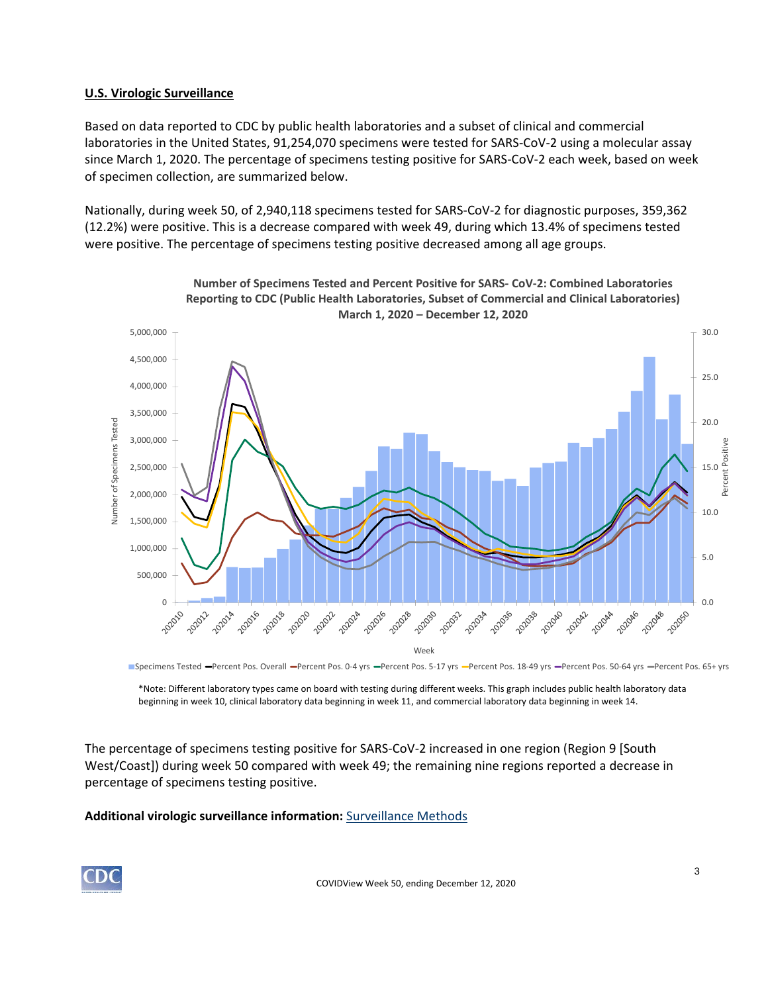## **U.S. Virologic Surveillance**

Based on data reported to CDC by public health laboratories and a subset of clinical and commercial laboratories in the United States, 91,254,070 specimens were tested for SARS-CoV-2 using a molecular assay since March 1, 2020. The percentage of specimens testing positive for SARS-CoV-2 each week, based on week of specimen collection, are summarized below.

Nationally, during week 50, of 2,940,118 specimens tested for SARS-CoV-2 for diagnostic purposes, 359,362 (12.2%) were positive. This is a decrease compared with week 49, during which 13.4% of specimens tested were positive. The percentage of specimens testing positive decreased among all age groups.



**Number of Specimens Tested and Percent Positive for SARS- CoV-2: Combined Laboratories Reporting to CDC (Public Health Laboratories, Subset of Commercial and Clinical Laboratories)**

Specimens Tested -Percent Pos. Overall -Percent Pos. 0-4 yrs -Percent Pos. 5-17 yrs -Percent Pos. 18-49 yrs -Percent Pos. 65+ yrs -Percent Pos. 65+ yrs

\*Note: Different laboratory types came on board with testing during different weeks. This graph includes public health laboratory data beginning in week 10, clinical laboratory data beginning in week 11, and commercial laboratory data beginning in week 14.

The percentage of specimens testing positive for SARS-CoV-2 increased in one region (Region 9 [South West/Coast]) during week 50 compared with week 49; the remaining nine regions reported a decrease in percentage of specimens testing positive.

## **Additional virologic surveillance information:** [Surveillance Methods](https://www.cdc.gov/coronavirus/2019-ncov/covid-data/covidview/purpose-methods.html#virologic)

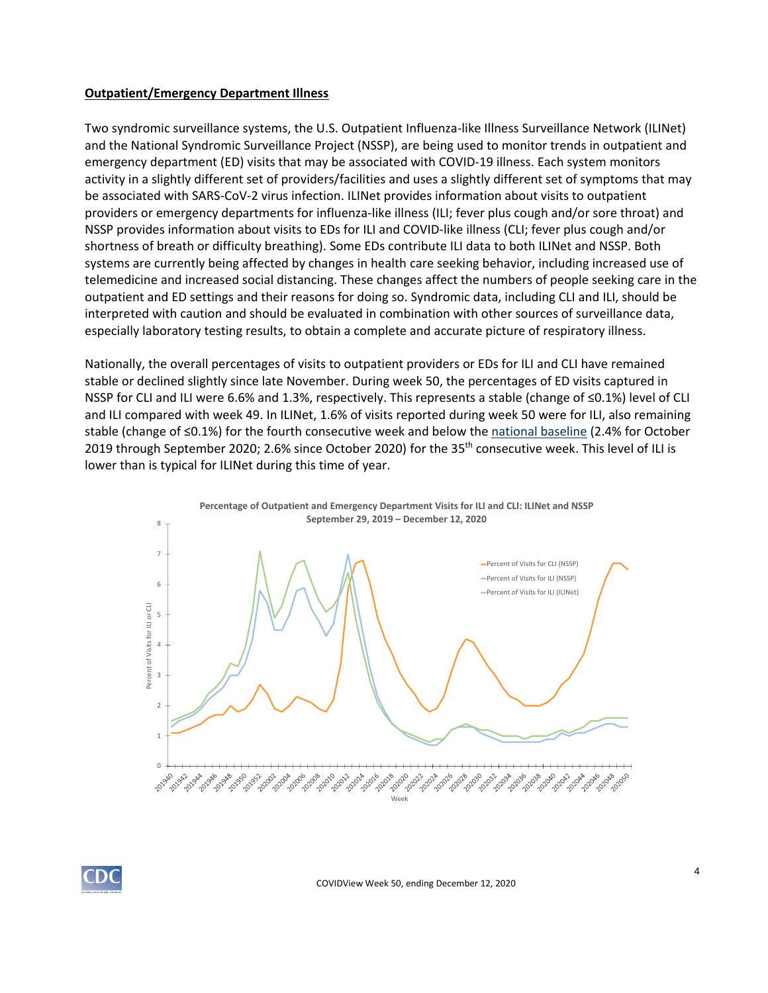#### **Outpatient/Emergency Department Illness**

Two syndromic surveillance systems, the U.S. Outpatient Influenza-like Illness Surveillance Network (ILINet) and the National Syndromic Surveillance Project (NSSP), are being used to monitor trends in outpatient and emergency department (ED) visits that may be associated with COVID-19 illness. Each system monitors activity in a slightly different set of providers/facilities and uses a slightly different set of symptoms that may be associated with SARS-CoV-2 virus infection. ILINet provides information about visits to outpatient providers or emergency departments for influenza-like illness (ILI; fever plus cough and/or sore throat) and NSSP provides information about visits to EDs for ILI and COVID-like illness (CLI; fever plus cough and/or shortness of breath or difficulty breathing). Some EDs contribute ILI data to both ILINet and NSSP. Both systems are currently being affected by changes in health care seeking behavior, including increased use of telemedicine and increased social distancing. These changes affect the numbers of people seeking care in the outpatient and ED settings and their reasons for doing so. Syndromic data, including CLI and ILI, should be interpreted with caution and should be evaluated in combination with other sources of surveillance data, especially laboratory testing results, to obtain a complete and accurate picture of respiratory illness.

Nationally, the overall percentages of visits to outpatient providers or EDs for ILI and CLI have remained stable or declined slightly since late November. During week 50, the percentages of ED visits captured in NSSP for CLI and ILI were 6.6% and 1.3%, respectively. This represents a stable (change of ≤0.1%) level of CLI and ILI compared with week 49. In ILINet, 1.6% of visits reported during week 50 were for ILI, also remaining stable (change of ≤0.1%) for the fourth consecutive week and below the [national baseline](https://www.cdc.gov/coronavirus/2019-ncov/covid-data/covidview/purpose-methods.html#outpatient) (2.4% for October 2019 through September 2020; 2.6% since October 2020) for the 35<sup>th</sup> consecutive week. This level of ILI is lower than is typical for ILINet during this time of year.



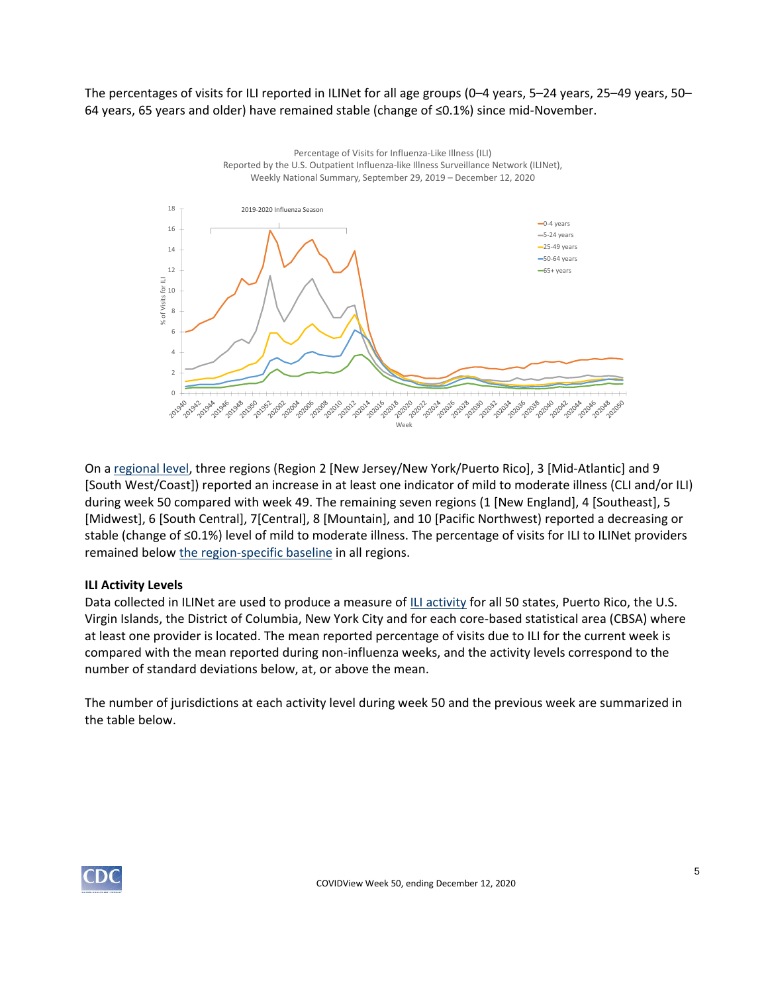The percentages of visits for ILI reported in ILINet for all age groups (0–4 years, 5–24 years, 25–49 years, 50– 64 years, 65 years and older) have remained stable (change of ≤0.1%) since mid-November.



On a [regional level,](https://www.hhs.gov/about/agencies/iea/regional-offices/index.html) three regions (Region 2 [New Jersey/New York/Puerto Rico], 3 [Mid-Atlantic] and 9 [South West/Coast]) reported an increase in at least one indicator of mild to moderate illness (CLI and/or ILI) during week 50 compared with week 49. The remaining seven regions (1 [New England], 4 [Southeast], 5 [Midwest], 6 [South Central], 7[Central], 8 [Mountain], and 10 [Pacific Northwest) reported a decreasing or stable (change of ≤0.1%) level of mild to moderate illness. The percentage of visits for ILI to ILINet providers remained below [the region-specific baseline](https://www.cdc.gov/coronavirus/2019-ncov/covid-data/covidview/purpose-methods.html#outpatient) in all regions.

### **ILI Activity Levels**

Data collected in ILINet are used to produce a measure of [ILI activity](https://www.cdc.gov/coronavirus/2019-ncov/covid-data/covidview/purpose-methods.html#outpatient) for all 50 states, Puerto Rico, the U.S. Virgin Islands, the District of Columbia, New York City and for each core-based statistical area (CBSA) where at least one provider is located. The mean reported percentage of visits due to ILI for the current week is compared with the mean reported during non-influenza weeks, and the activity levels correspond to the number of standard deviations below, at, or above the mean.

The number of jurisdictions at each activity level during week 50 and the previous week are summarized in the table below.

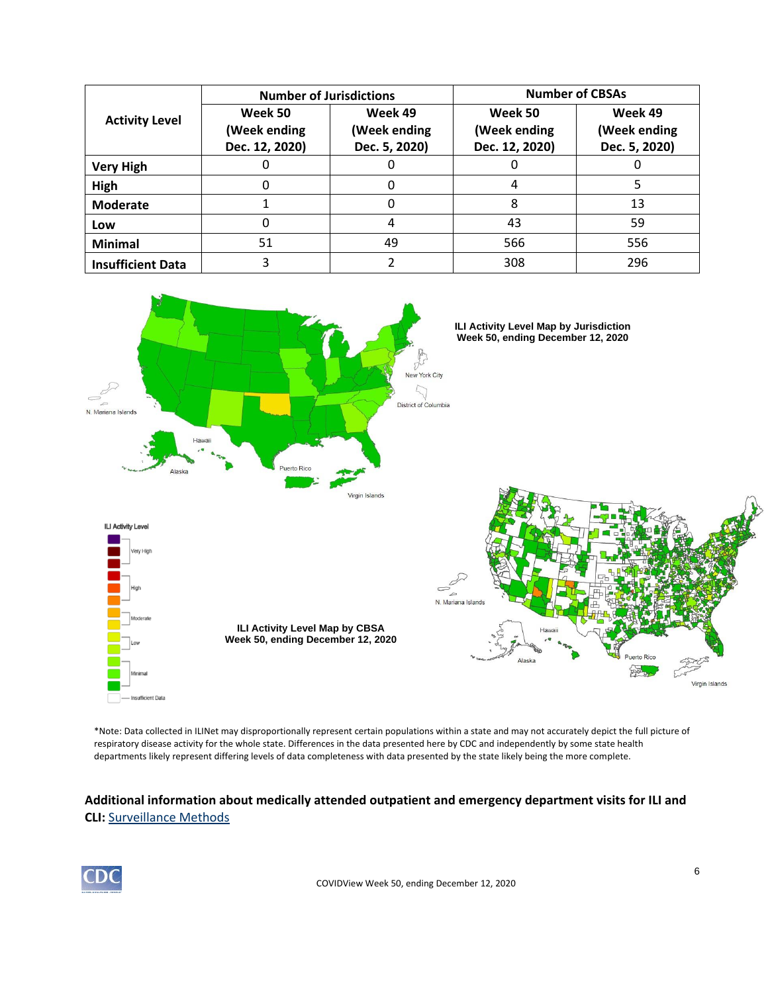| <b>Activity Level</b>    | <b>Number of Jurisdictions</b>            |                                          | <b>Number of CBSAs</b>                    |                                          |  |
|--------------------------|-------------------------------------------|------------------------------------------|-------------------------------------------|------------------------------------------|--|
|                          | Week 50<br>(Week ending<br>Dec. 12, 2020) | Week 49<br>(Week ending<br>Dec. 5, 2020) | Week 50<br>(Week ending<br>Dec. 12, 2020) | Week 49<br>(Week ending<br>Dec. 5, 2020) |  |
| <b>Very High</b>         |                                           |                                          |                                           |                                          |  |
| High                     | 0                                         |                                          |                                           |                                          |  |
| <b>Moderate</b>          |                                           |                                          | 8                                         | 13                                       |  |
| Low                      |                                           |                                          | 43                                        | 59                                       |  |
| <b>Minimal</b>           | 51                                        | 49                                       | 566                                       | 556                                      |  |
| <b>Insufficient Data</b> |                                           |                                          | 308                                       | 296                                      |  |



\*Note: Data collected in ILINet may disproportionally represent certain populations within a state and may not accurately depict the full picture of respiratory disease activity for the whole state. Differences in the data presented here by CDC and independently by some state health departments likely represent differing levels of data completeness with data presented by the state likely being the more complete.

## **Additional information about medically attended outpatient and emergency department visits for ILI and CLI:** [Surveillance Methods](https://www.cdc.gov/coronavirus/2019-ncov/covid-data/covidview/purpose-methods.html#outpatient)

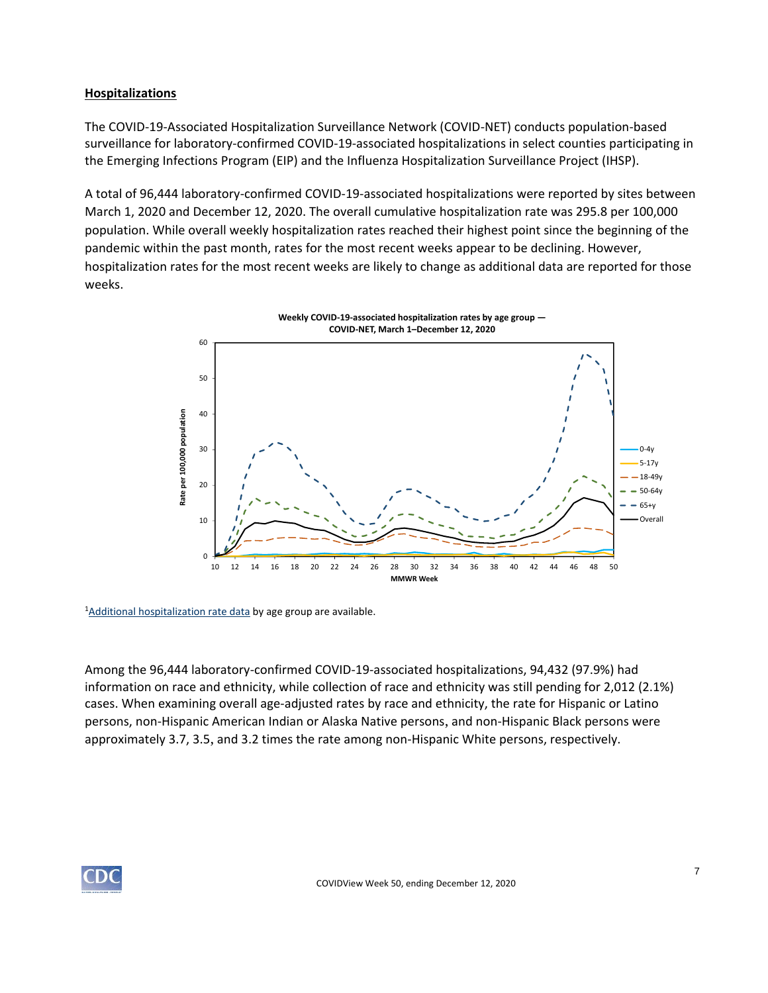## **Hospitalizations**

The COVID-19-Associated Hospitalization Surveillance Network (COVID-NET) conducts population-based surveillance for laboratory-confirmed COVID-19-associated hospitalizations in select counties participating in the Emerging Infections Program (EIP) and the Influenza Hospitalization Surveillance Project (IHSP).

A total of 96,444 laboratory-confirmed COVID-19-associated hospitalizations were reported by sites between March 1, 2020 and December 12, 2020. The overall cumulative hospitalization rate was 295.8 per 100,000 population. While overall weekly hospitalization rates reached their highest point since the beginning of the pandemic within the past month, rates for the most recent weeks appear to be declining. However, hospitalization rates for the most recent weeks are likely to change as additional data are reported for those weeks.



<sup>1</sup>[Additional hospitalization rate data](https://gis.cdc.gov/grasp/COVIDNet/COVID19_3.html) by age group are available.

Among the 96,444 laboratory-confirmed COVID-19-associated hospitalizations, 94,432 (97.9%) had information on race and ethnicity, while collection of race and ethnicity was still pending for 2,012 (2.1%) cases. When examining overall age-adjusted rates by race and ethnicity, the rate for Hispanic or Latino persons, non-Hispanic American Indian or Alaska Native persons, and non-Hispanic Black persons were approximately 3.7, 3.5, and 3.2 times the rate among non-Hispanic White persons, respectively.

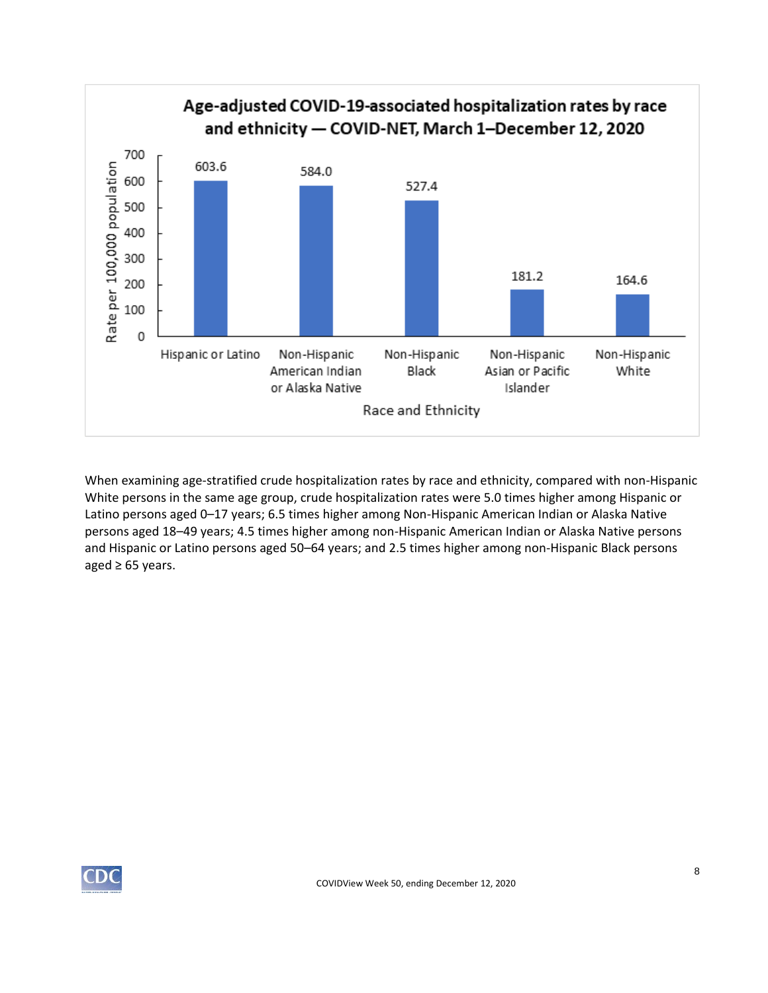

When examining age-stratified crude hospitalization rates by race and ethnicity, compared with non-Hispanic White persons in the same age group, crude hospitalization rates were 5.0 times higher among Hispanic or Latino persons aged 0–17 years; 6.5 times higher among Non-Hispanic American Indian or Alaska Native persons aged 18–49 years; 4.5 times higher among non-Hispanic American Indian or Alaska Native persons and Hispanic or Latino persons aged 50–64 years; and 2.5 times higher among non-Hispanic Black persons aged  $\geq 65$  years.

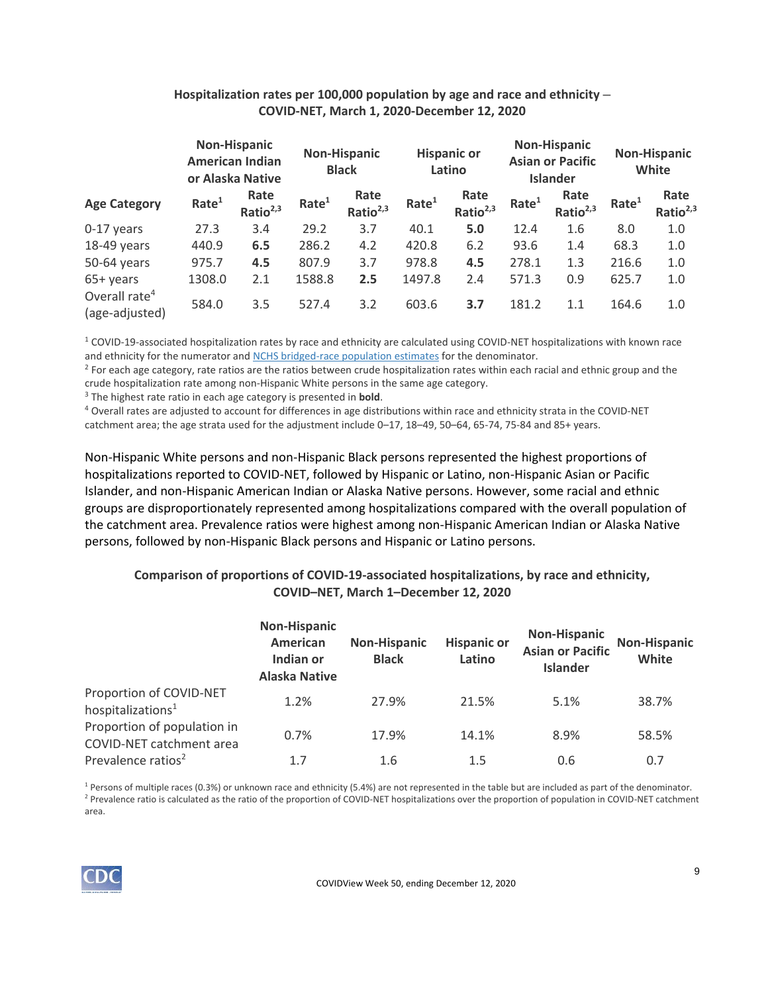|                                             |                   | <b>Non-Hispanic</b><br><b>American Indian</b><br>or Alaska Native |                   | <b>Non-Hispanic</b><br><b>Black</b> |                   | <b>Hispanic or</b><br>Latino |                   | <b>Non-Hispanic</b><br><b>Asian or Pacific</b><br><b>Islander</b> |                   | <b>Non-Hispanic</b><br>White |
|---------------------------------------------|-------------------|-------------------------------------------------------------------|-------------------|-------------------------------------|-------------------|------------------------------|-------------------|-------------------------------------------------------------------|-------------------|------------------------------|
| <b>Age Category</b>                         | Rate <sup>1</sup> | Rate<br>Ratio <sup>2,3</sup>                                      | Rate <sup>1</sup> | Rate<br>Ratio $2,3$                 | Rate <sup>1</sup> | Rate<br>Ratio $2,3$          | Rate <sup>1</sup> | Rate<br>Ratio <sup>2,3</sup>                                      | Rate <sup>1</sup> | Rate<br>Ratio <sup>2,3</sup> |
| 0-17 years                                  | 27.3              | 3.4                                                               | 29.2              | 3.7                                 | 40.1              | 5.0                          | 12.4              | 1.6                                                               | 8.0               | 1.0                          |
| 18-49 years                                 | 440.9             | 6.5                                                               | 286.2             | 4.2                                 | 420.8             | 6.2                          | 93.6              | 1.4                                                               | 68.3              | 1.0                          |
| 50-64 years                                 | 975.7             | 4.5                                                               | 807.9             | 3.7                                 | 978.8             | 4.5                          | 278.1             | 1.3                                                               | 216.6             | 1.0                          |
| 65+ years                                   | 1308.0            | 2.1                                                               | 1588.8            | 2.5                                 | 1497.8            | 2.4                          | 571.3             | 0.9                                                               | 625.7             | 1.0                          |
| Overall rate <sup>4</sup><br>(age-adjusted) | 584.0             | 3.5                                                               | 527.4             | 3.2                                 | 603.6             | 3.7                          | 181.2             | 1.1                                                               | 164.6             | 1.0                          |

## **Hospitalization rates per 100,000 population by age and race and ethnicity – COVID-NET, March 1, 2020-December 12, 2020**

 $1$  COVID-19-associated hospitalization rates by race and ethnicity are calculated using COVID-NET hospitalizations with known race and ethnicity for the numerator and [NCHS bridged-race population estimates](https://www.cdc.gov/nchs/nvss/bridged_race.htm) for the denominator.

<sup>2</sup> For each age category, rate ratios are the ratios between crude hospitalization rates within each racial and ethnic group and the crude hospitalization rate among non-Hispanic White persons in the same age category.

<sup>3</sup> The highest rate ratio in each age category is presented in **bold**.

<sup>4</sup> Overall rates are adjusted to account for differences in age distributions within race and ethnicity strata in the COVID-NET catchment area; the age strata used for the adjustment include 0–17, 18–49, 50–64, 65-74, 75-84 and 85+ years.

Non-Hispanic White persons and non-Hispanic Black persons represented the highest proportions of hospitalizations reported to COVID-NET, followed by Hispanic or Latino, non-Hispanic Asian or Pacific Islander, and non-Hispanic American Indian or Alaska Native persons. However, some racial and ethnic groups are disproportionately represented among hospitalizations compared with the overall population of the catchment area. Prevalence ratios were highest among non-Hispanic American Indian or Alaska Native persons, followed by non-Hispanic Black persons and Hispanic or Latino persons.

## **Comparison of proportions of COVID-19-associated hospitalizations, by race and ethnicity, COVID–NET, March 1–December 12, 2020**

|                                                          | <b>Non-Hispanic</b><br>American<br>Indian or<br><b>Alaska Native</b> | <b>Non-Hispanic</b><br><b>Black</b> | <b>Hispanic or</b><br>Latino | <b>Non-Hispanic</b><br><b>Asian or Pacific</b><br><b>Islander</b> | <b>Non-Hispanic</b><br>White |
|----------------------------------------------------------|----------------------------------------------------------------------|-------------------------------------|------------------------------|-------------------------------------------------------------------|------------------------------|
| Proportion of COVID-NET<br>hospitalizations <sup>1</sup> | 1.2%                                                                 | 27.9%                               | 21.5%                        | 5.1%                                                              | 38.7%                        |
| Proportion of population in<br>COVID-NET catchment area  | 0.7%                                                                 | 17.9%                               | 14.1%                        | 8.9%                                                              | 58.5%                        |
| Prevalence ratios <sup>2</sup>                           | 1.7                                                                  | 1.6                                 | 1.5                          | 0.6                                                               | 0.7                          |

 $1$  Persons of multiple races (0.3%) or unknown race and ethnicity (5.4%) are not represented in the table but are included as part of the denominator. <sup>2</sup> Prevalence ratio is calculated as the ratio of the proportion of COVID-NET hospitalizations over the proportion of population in COVID-NET catchment area.

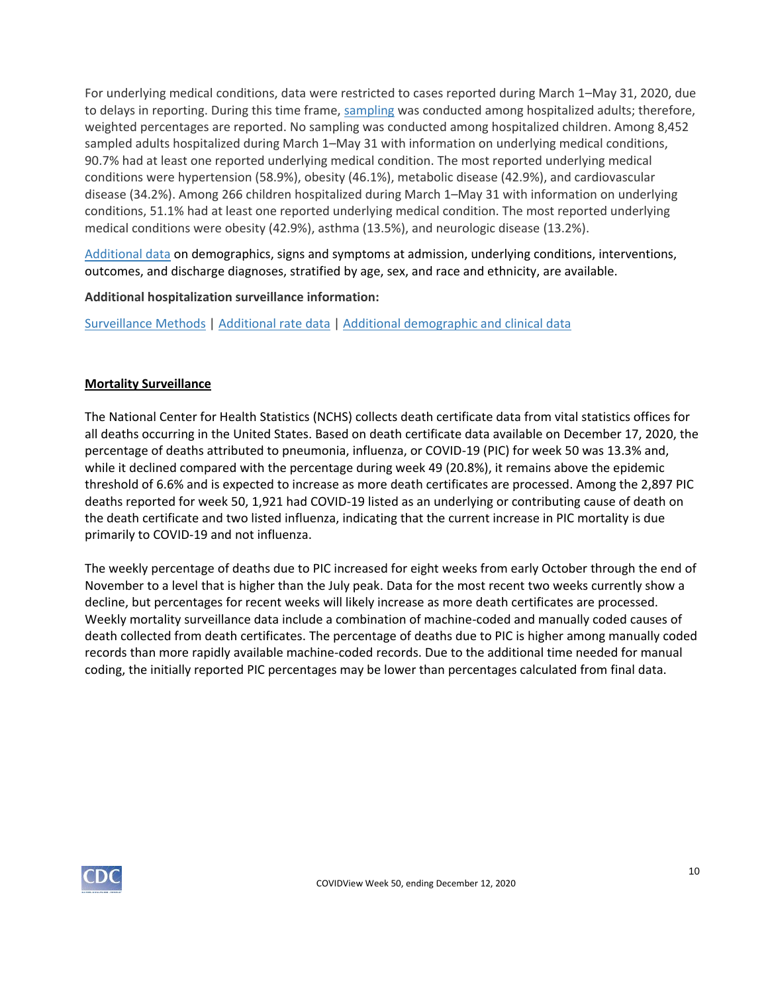For underlying medical conditions, data were restricted to cases reported during March 1–May 31, 2020, due to delays in reporting. During this time frame, [sampling](https://www.cdc.gov/coronavirus/2019-ncov/covid-data/covidview/purpose-methods.html#hospitalization) was conducted among hospitalized adults; therefore, weighted percentages are reported. No sampling was conducted among hospitalized children. Among 8,452 sampled adults hospitalized during March 1–May 31 with information on underlying medical conditions, 90.7% had at least one reported underlying medical condition. The most reported underlying medical conditions were hypertension (58.9%), obesity (46.1%), metabolic disease (42.9%), and cardiovascular disease (34.2%). Among 266 children hospitalized during March 1–May 31 with information on underlying conditions, 51.1% had at least one reported underlying medical condition. The most reported underlying medical conditions were obesity (42.9%), asthma (13.5%), and neurologic disease (13.2%).

[Additional data](https://gis.cdc.gov/grasp/COVIDNet/COVID19_5.html) on demographics, signs and symptoms at admission, underlying conditions, interventions, outcomes, and discharge diagnoses, stratified by age, sex, and race and ethnicity, are available.

**Additional hospitalization surveillance information:**

[Surveillance Methods](https://www.cdc.gov/coronavirus/2019-ncov/covid-data/covidview/purpose-methods.html#hospitalization) | [Additional rate data](https://gis.cdc.gov/grasp/COVIDNet/COVID19_3.html) | [Additional demographic and clinical data](https://gis.cdc.gov/grasp/COVIDNet/COVID19_5.html)

## **Mortality Surveillance**

The National Center for Health Statistics (NCHS) collects death certificate data from vital statistics offices for all deaths occurring in the United States. Based on death certificate data available on December 17, 2020, the percentage of deaths attributed to pneumonia, influenza, or COVID-19 (PIC) for week 50 was 13.3% and, while it declined compared with the percentage during week 49 (20.8%), it remains above the epidemic threshold of 6.6% and is expected to increase as more death certificates are processed. Among the 2,897 PIC deaths reported for week 50, 1,921 had COVID-19 listed as an underlying or contributing cause of death on the death certificate and two listed influenza, indicating that the current increase in PIC mortality is due primarily to COVID-19 and not influenza.

The weekly percentage of deaths due to PIC increased for eight weeks from early October through the end of November to a level that is higher than the July peak. Data for the most recent two weeks currently show a decline, but percentages for recent weeks will likely increase as more death certificates are processed. Weekly mortality surveillance data include a combination of machine-coded and manually coded causes of death collected from death certificates. The percentage of deaths due to PIC is higher among manually coded records than more rapidly available machine-coded records. Due to the additional time needed for manual coding, the initially reported PIC percentages may be lower than percentages calculated from final data.